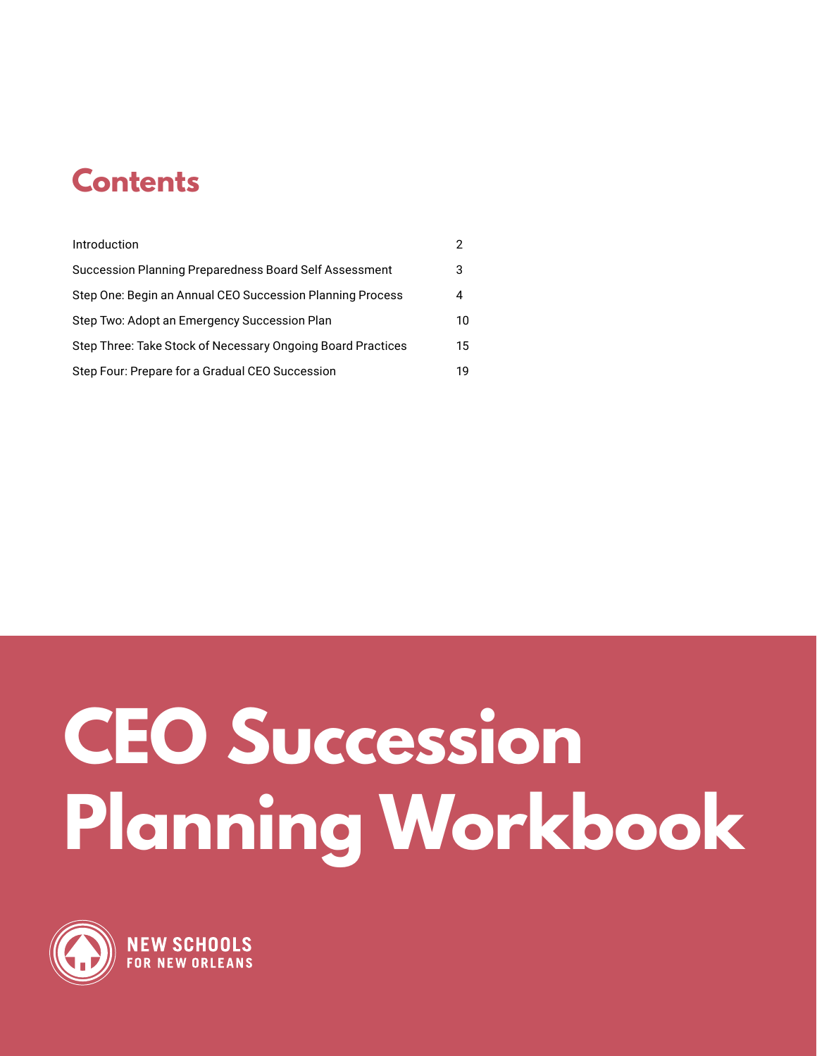## **Contents**

| Introduction                                                |    |
|-------------------------------------------------------------|----|
| Succession Planning Preparedness Board Self Assessment      | 3  |
| Step One: Begin an Annual CEO Succession Planning Process   | 4  |
| Step Two: Adopt an Emergency Succession Plan                | 10 |
| Step Three: Take Stock of Necessary Ongoing Board Practices | 15 |
| Step Four: Prepare for a Gradual CEO Succession             | 19 |

# **CEO Succession Planning Workbook**

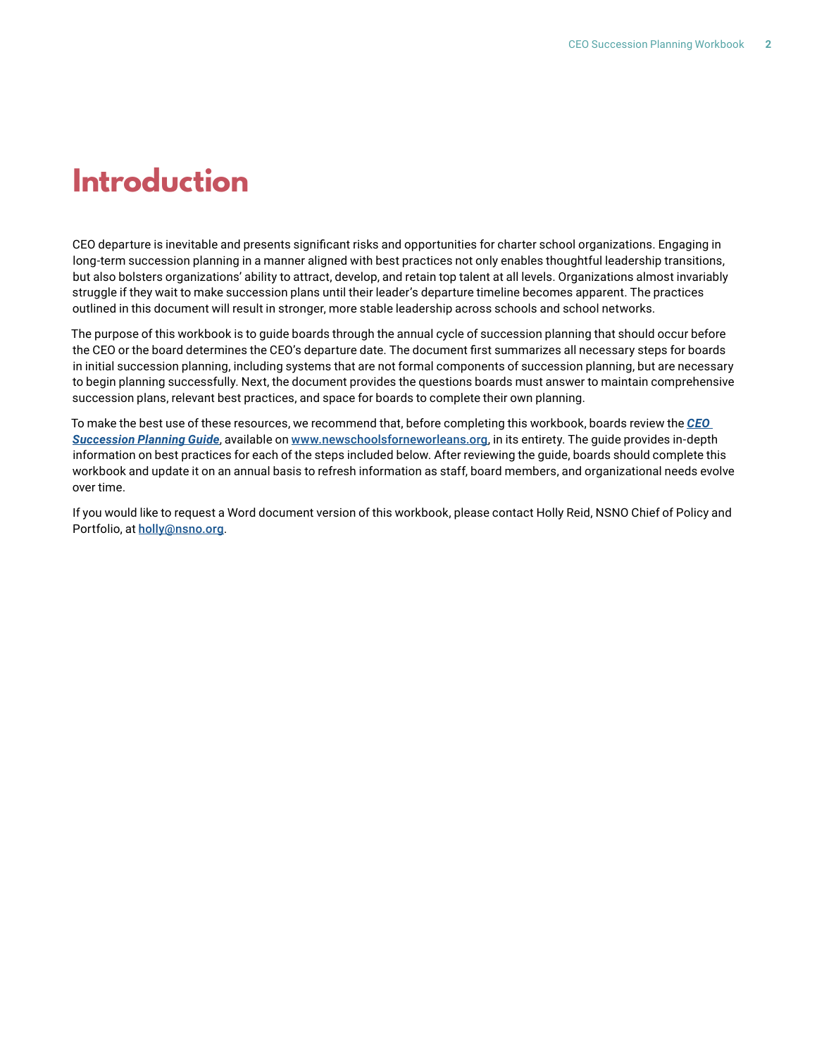### **Introduction**

CEO departure is inevitable and presents significant risks and opportunities for charter school organizations. Engaging in long-term succession planning in a manner aligned with best practices not only enables thoughtful leadership transitions, but also bolsters organizations' ability to attract, develop, and retain top talent at all levels. Organizations almost invariably struggle if they wait to make succession plans until their leader's departure timeline becomes apparent. The practices outlined in this document will result in stronger, more stable leadership across schools and school networks.

The purpose of this workbook is to guide boards through the annual cycle of succession planning that should occur before the CEO or the board determines the CEO's departure date. The document first summarizes all necessary steps for boards in initial succession planning, including systems that are not formal components of succession planning, but are necessary to begin planning successfully. Next, the document provides the questions boards must answer to maintain comprehensive succession plans, relevant best practices, and space for boards to complete their own planning.

To make the best use of these resources, we recommend that, before completing this workbook, boards review the *[CEO](https://www.newschoolsforneworleans.org/wp-content/uploads/2020/01/NSNO-ceo-succession-planner-pages-0120.pdf)  [Succession Planning Guide](https://www.newschoolsforneworleans.org/wp-content/uploads/2020/01/NSNO-ceo-succession-planner-pages-0120.pdf)*, available on [www.newschoolsforneworleans.org](http://www.newschoolsforneworleans.org), in its entirety. The guide provides in-depth information on best practices for each of the steps included below. After reviewing the guide, boards should complete this workbook and update it on an annual basis to refresh information as staff, board members, and organizational needs evolve over time.

If you would like to request a Word document version of this workbook, please contact Holly Reid, NSNO Chief of Policy and Portfolio, at [holly@nsno.org](mailto:holly%40nsno.org?subject=).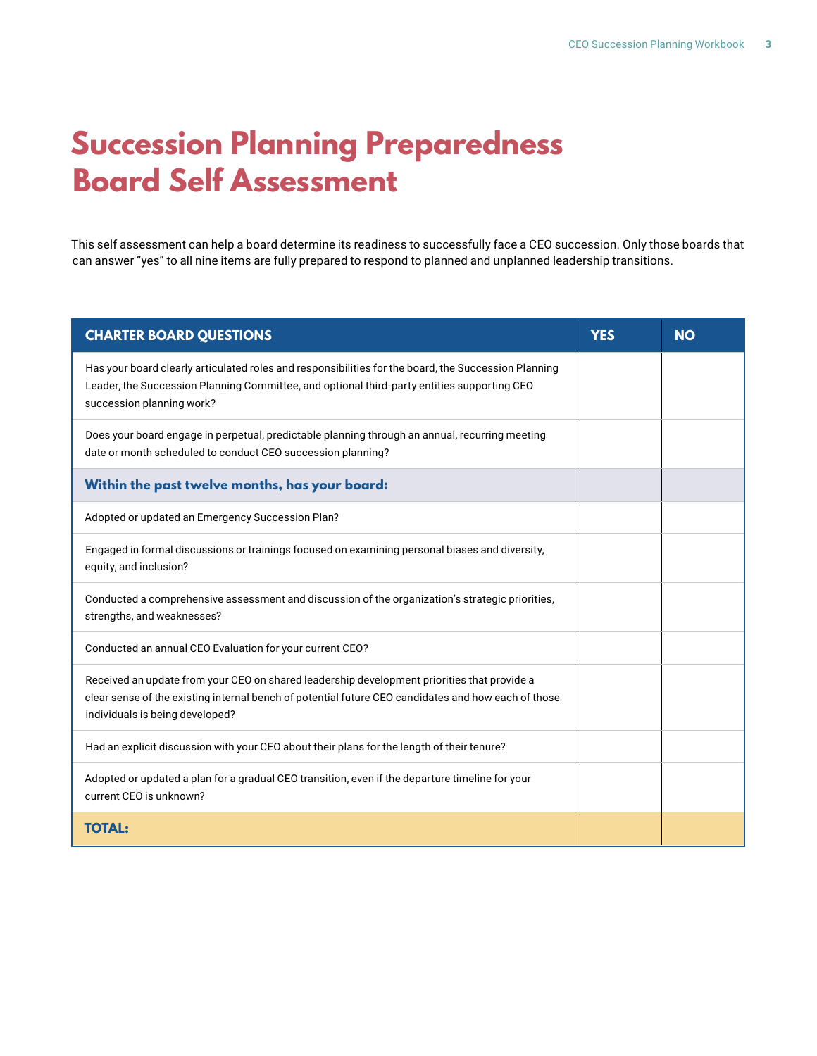## **Succession Planning Preparedness Board Self Assessment**

This self assessment can help a board determine its readiness to successfully face a CEO succession. Only those boards that can answer "yes" to all nine items are fully prepared to respond to planned and unplanned leadership transitions.

| <b>CHARTER BOARD QUESTIONS</b>                                                                                                                                                                                                        | <b>YES</b> | <b>NO</b> |
|---------------------------------------------------------------------------------------------------------------------------------------------------------------------------------------------------------------------------------------|------------|-----------|
| Has your board clearly articulated roles and responsibilities for the board, the Succession Planning<br>Leader, the Succession Planning Committee, and optional third-party entities supporting CEO<br>succession planning work?      |            |           |
| Does your board engage in perpetual, predictable planning through an annual, recurring meeting<br>date or month scheduled to conduct CEO succession planning?                                                                         |            |           |
| Within the past twelve months, has your board:                                                                                                                                                                                        |            |           |
| Adopted or updated an Emergency Succession Plan?                                                                                                                                                                                      |            |           |
| Engaged in formal discussions or trainings focused on examining personal biases and diversity,<br>equity, and inclusion?                                                                                                              |            |           |
| Conducted a comprehensive assessment and discussion of the organization's strategic priorities,<br>strengths, and weaknesses?                                                                                                         |            |           |
| Conducted an annual CEO Evaluation for your current CEO?                                                                                                                                                                              |            |           |
| Received an update from your CEO on shared leadership development priorities that provide a<br>clear sense of the existing internal bench of potential future CEO candidates and how each of those<br>individuals is being developed? |            |           |
| Had an explicit discussion with your CEO about their plans for the length of their tenure?                                                                                                                                            |            |           |
| Adopted or updated a plan for a gradual CEO transition, even if the departure timeline for your<br>current CEO is unknown?                                                                                                            |            |           |
| <b>TOTAL:</b>                                                                                                                                                                                                                         |            |           |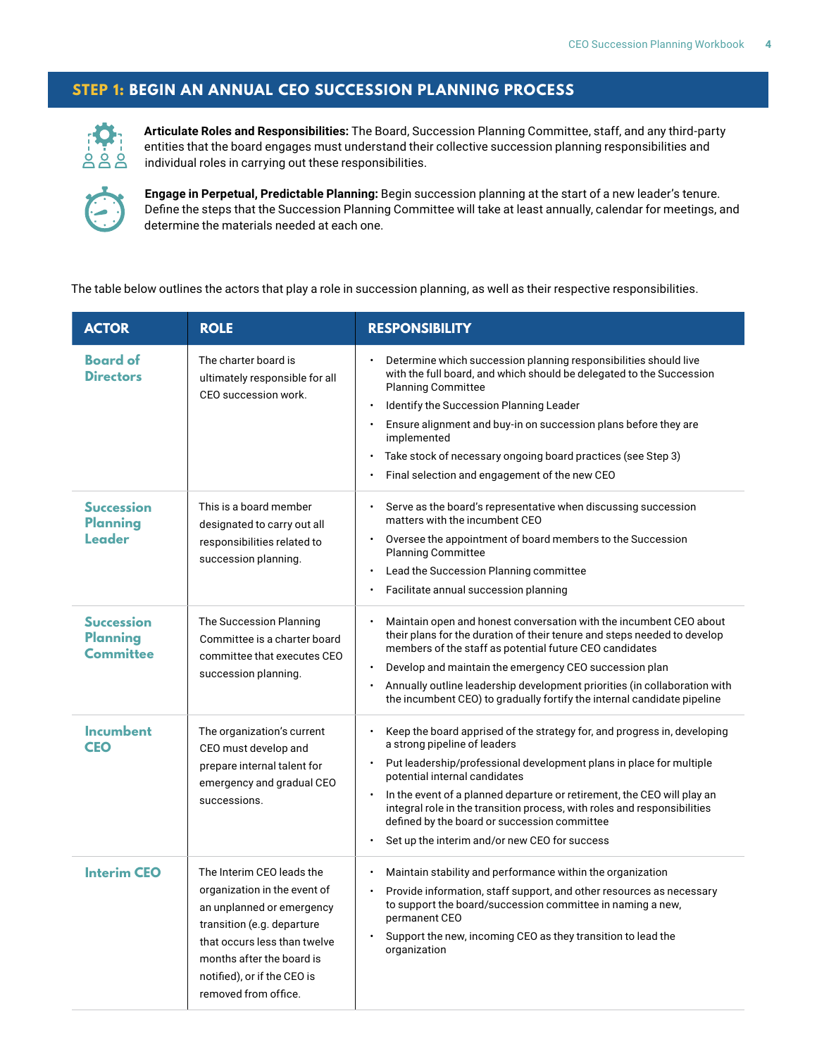#### **STEP 1: BEGIN AN ANNUAL CEO SUCCESSION PLANNING PROCESS**



**Articulate Roles and Responsibilities:** The Board, Succession Planning Committee, staff, and any third-party entities that the board engages must understand their collective succession planning responsibilities and individual roles in carrying out these responsibilities.



**Engage in Perpetual, Predictable Planning:** Begin succession planning at the start of a new leader's tenure. Define the steps that the Succession Planning Committee will take at least annually, calendar for meetings, and determine the materials needed at each one.

The table below outlines the actors that play a role in succession planning, as well as their respective responsibilities.

| <b>ACTOR</b>                                             | <b>ROLE</b>                                                                                                                                                                                                                              | <b>RESPONSIBILITY</b>                                                                                                                                                                                                                                                                                                                                                                                                                                                                                                                   |
|----------------------------------------------------------|------------------------------------------------------------------------------------------------------------------------------------------------------------------------------------------------------------------------------------------|-----------------------------------------------------------------------------------------------------------------------------------------------------------------------------------------------------------------------------------------------------------------------------------------------------------------------------------------------------------------------------------------------------------------------------------------------------------------------------------------------------------------------------------------|
| <b>Board of</b><br><b>Directors</b>                      | The charter board is<br>ultimately responsible for all<br>CEO succession work.                                                                                                                                                           | Determine which succession planning responsibilities should live<br>$\bullet$<br>with the full board, and which should be delegated to the Succession<br><b>Planning Committee</b><br>Identify the Succession Planning Leader<br>$\bullet$<br>Ensure alignment and buy-in on succession plans before they are<br>$\bullet$<br>implemented<br>Take stock of necessary ongoing board practices (see Step 3)<br>$\bullet$<br>Final selection and engagement of the new CEO                                                                 |
| <b>Succession</b><br><b>Planning</b><br>Leader           | This is a board member<br>designated to carry out all<br>responsibilities related to<br>succession planning.                                                                                                                             | Serve as the board's representative when discussing succession<br>$\bullet$<br>matters with the incumbent CEO<br>Oversee the appointment of board members to the Succession<br>$\bullet$<br><b>Planning Committee</b><br>Lead the Succession Planning committee<br>$\bullet$<br>Facilitate annual succession planning<br>$\bullet$                                                                                                                                                                                                      |
| <b>Succession</b><br><b>Planning</b><br><b>Committee</b> | The Succession Planning<br>Committee is a charter board<br>committee that executes CEO<br>succession planning.                                                                                                                           | Maintain open and honest conversation with the incumbent CEO about<br>their plans for the duration of their tenure and steps needed to develop<br>members of the staff as potential future CEO candidates<br>Develop and maintain the emergency CEO succession plan<br>$\bullet$<br>Annually outline leadership development priorities (in collaboration with<br>$\bullet$<br>the incumbent CEO) to gradually fortify the internal candidate pipeline                                                                                   |
| <b>Incumbent</b><br><b>CEO</b>                           | The organization's current<br>CEO must develop and<br>prepare internal talent for<br>emergency and gradual CEO<br>successions.                                                                                                           | Keep the board apprised of the strategy for, and progress in, developing<br>$\bullet$<br>a strong pipeline of leaders<br>Put leadership/professional development plans in place for multiple<br>$\ddot{\phantom{0}}$<br>potential internal candidates<br>In the event of a planned departure or retirement, the CEO will play an<br>$\bullet$<br>integral role in the transition process, with roles and responsibilities<br>defined by the board or succession committee<br>Set up the interim and/or new CEO for success<br>$\bullet$ |
| <b>Interim CEO</b>                                       | The Interim CEO leads the<br>organization in the event of<br>an unplanned or emergency<br>transition (e.g. departure<br>that occurs less than twelve<br>months after the board is<br>notified), or if the CEO is<br>removed from office. | Maintain stability and performance within the organization<br>Provide information, staff support, and other resources as necessary<br>to support the board/succession committee in naming a new,<br>permanent CEO<br>Support the new, incoming CEO as they transition to lead the<br>organization                                                                                                                                                                                                                                       |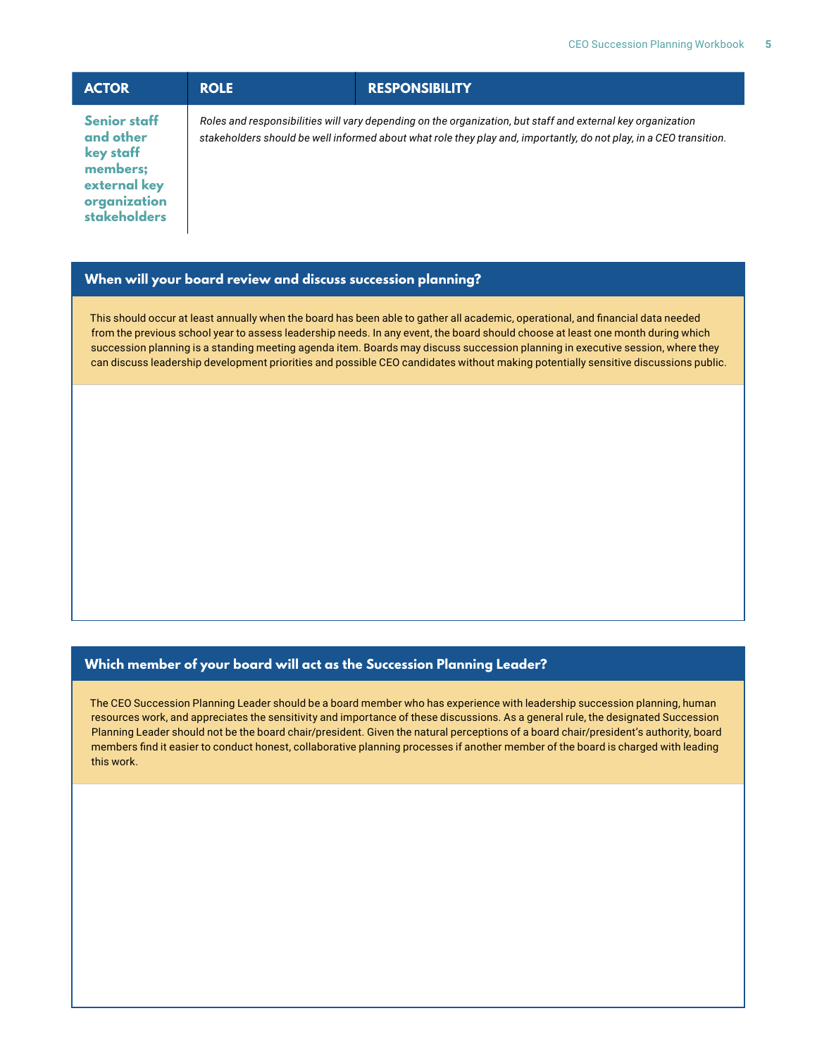| <b>ACTOR</b>                                                                                                     | <b>ROLE</b> | <b>RESPONSIBILITY</b>                                                                                                                                                                                                             |
|------------------------------------------------------------------------------------------------------------------|-------------|-----------------------------------------------------------------------------------------------------------------------------------------------------------------------------------------------------------------------------------|
| <b>Senior staff</b><br>and other<br>key staff<br>members;<br>external key<br>organization<br><b>stakeholders</b> |             | Roles and responsibilities will vary depending on the organization, but staff and external key organization<br>stakeholders should be well informed about what role they play and, importantly, do not play, in a CEO transition. |

#### **When will your board review and discuss succession planning?**

This should occur at least annually when the board has been able to gather all academic, operational, and financial data needed from the previous school year to assess leadership needs. In any event, the board should choose at least one month during which succession planning is a standing meeting agenda item. Boards may discuss succession planning in executive session, where they can discuss leadership development priorities and possible CEO candidates without making potentially sensitive discussions public.

#### **Which member of your board will act as the Succession Planning Leader?**

The CEO Succession Planning Leader should be a board member who has experience with leadership succession planning, human resources work, and appreciates the sensitivity and importance of these discussions. As a general rule, the designated Succession Planning Leader should not be the board chair/president. Given the natural perceptions of a board chair/president's authority, board members find it easier to conduct honest, collaborative planning processes if another member of the board is charged with leading this work.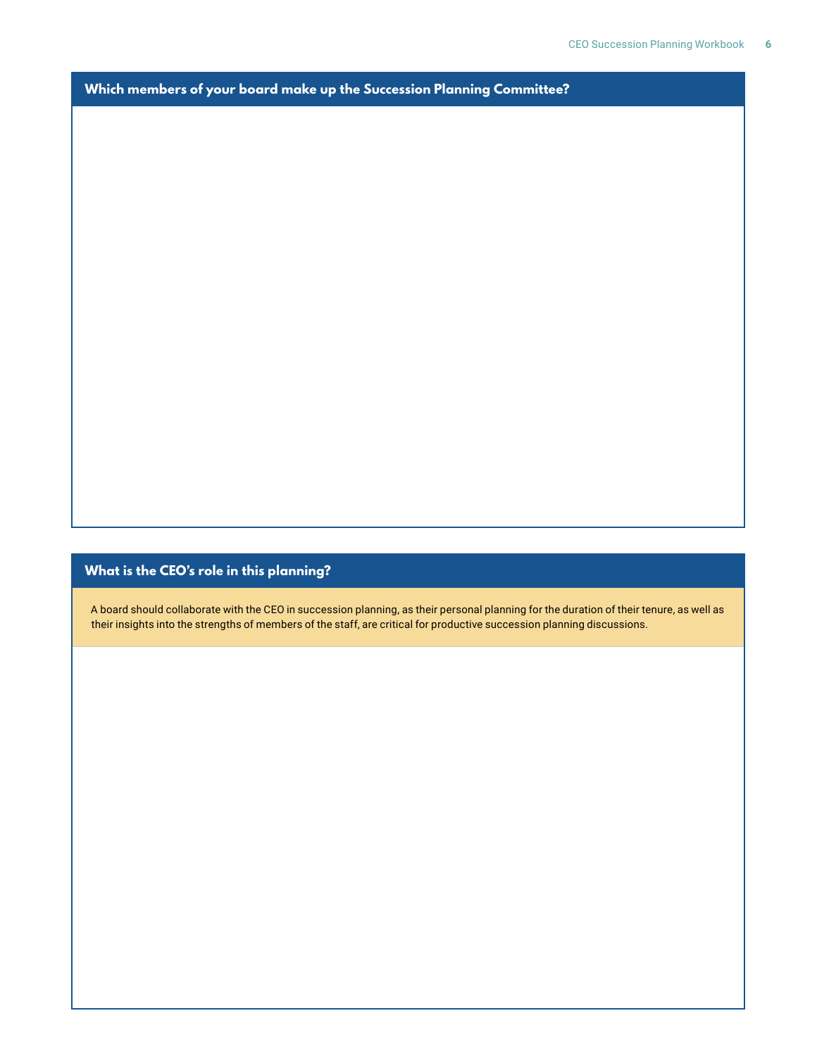**Which members of your board make up the Succession Planning Committee?**

#### **What is the CEO's role in this planning?**

A board should collaborate with the CEO in succession planning, as their personal planning for the duration of their tenure, as well as their insights into the strengths of members of the staff, are critical for productive succession planning discussions.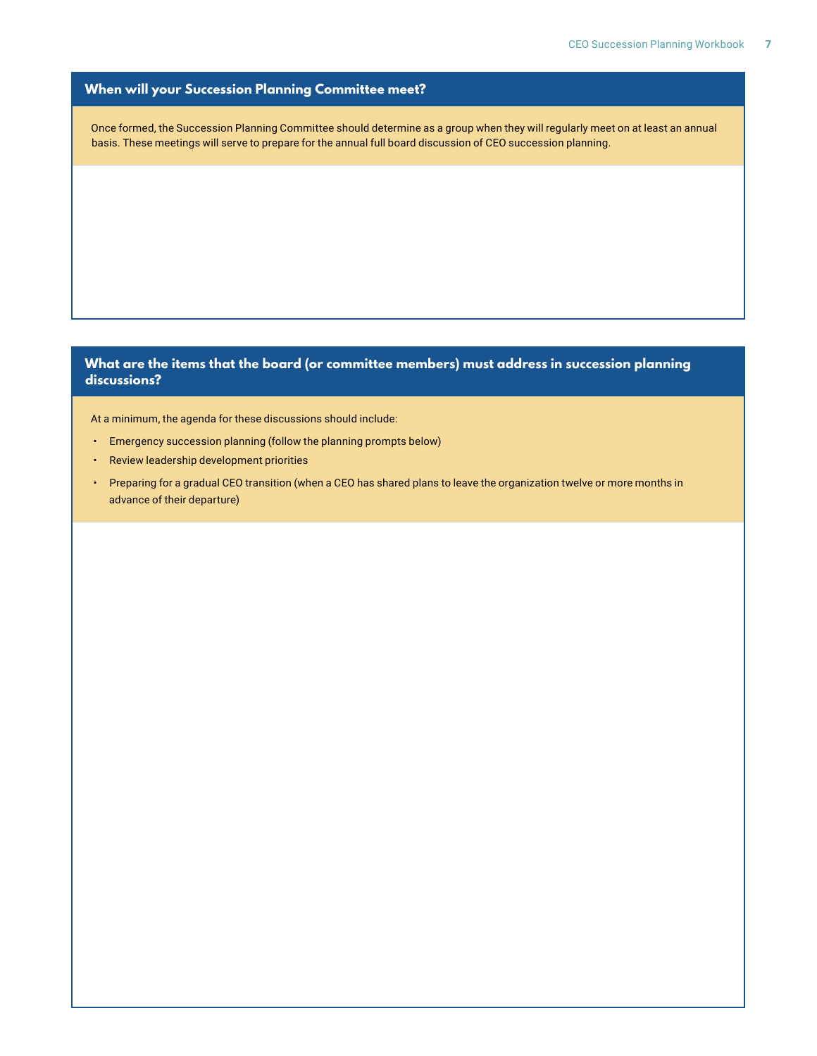#### **When will your Succession Planning Committee meet?**

Once formed, the Succession Planning Committee should determine as a group when they will regularly meet on at least an annual basis. These meetings will serve to prepare for the annual full board discussion of CEO succession planning.

#### **What are the items that the board (or committee members) must address in succession planning discussions?**

At a minimum, the agenda for these discussions should include:

- Emergency succession planning (follow the planning prompts below)
- Review leadership development priorities
- Preparing for a gradual CEO transition (when a CEO has shared plans to leave the organization twelve or more months in advance of their departure)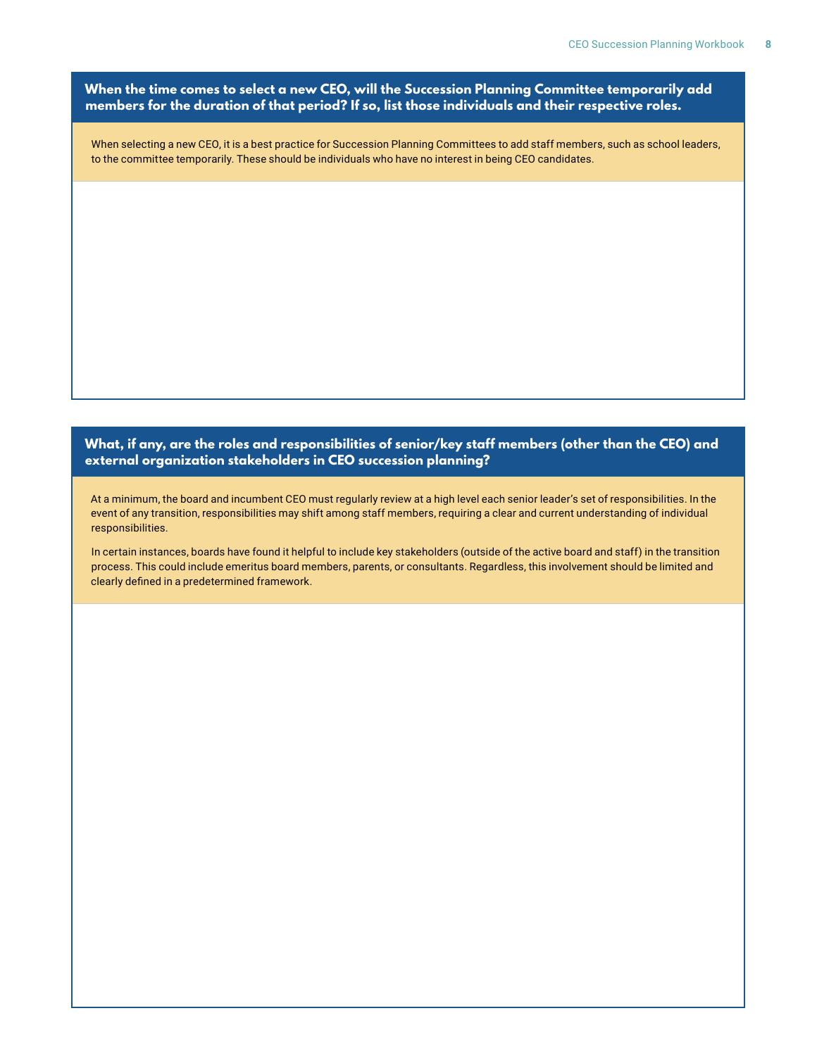**When the time comes to select a new CEO, will the Succession Planning Committee temporarily add members for the duration of that period? If so, list those individuals and their respective roles.**

When selecting a new CEO, it is a best practice for Succession Planning Committees to add staff members, such as school leaders, to the committee temporarily. These should be individuals who have no interest in being CEO candidates.

#### **What, if any, are the roles and responsibilities of senior/key staff members (other than the CEO) and external organization stakeholders in CEO succession planning?**

At a minimum, the board and incumbent CEO must regularly review at a high level each senior leader's set of responsibilities. In the event of any transition, responsibilities may shift among staff members, requiring a clear and current understanding of individual responsibilities.

In certain instances, boards have found it helpful to include key stakeholders (outside of the active board and staff) in the transition process. This could include emeritus board members, parents, or consultants. Regardless, this involvement should be limited and clearly defined in a predetermined framework.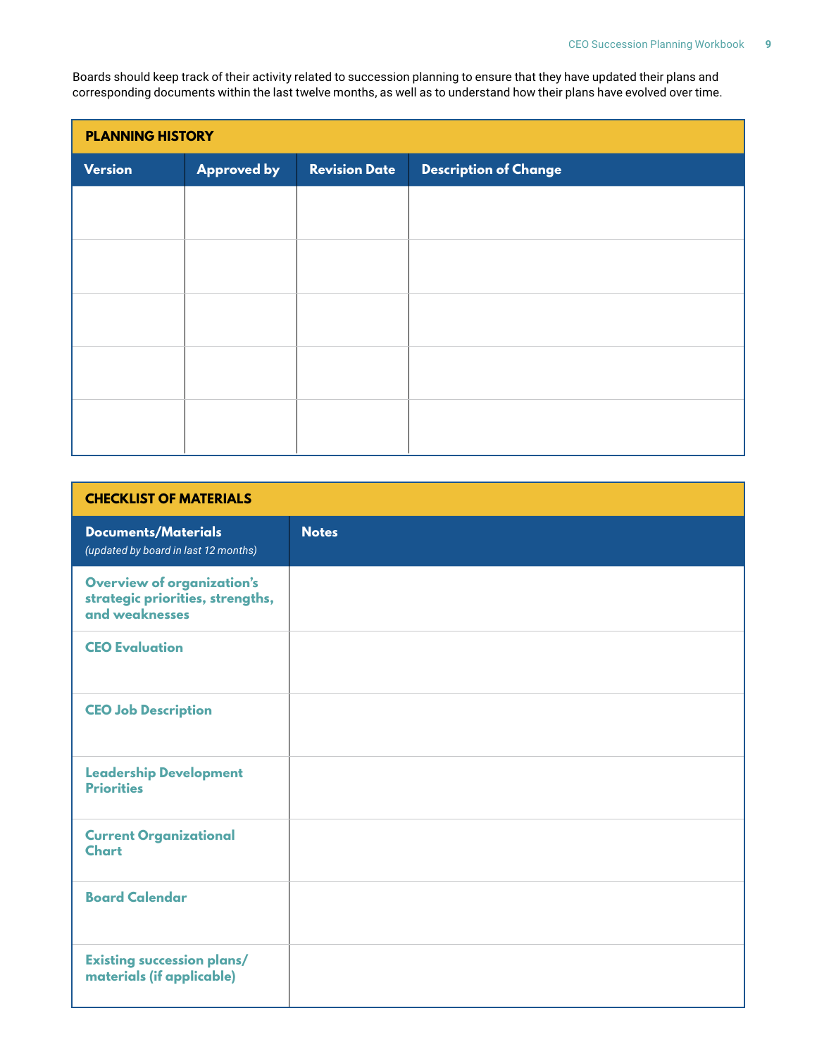Boards should keep track of their activity related to succession planning to ensure that they have updated their plans and corresponding documents within the last twelve months, as well as to understand how their plans have evolved over time.

| <b>PLANNING HISTORY</b> |                    |                      |                              |
|-------------------------|--------------------|----------------------|------------------------------|
| <b>Version</b>          | <b>Approved by</b> | <b>Revision Date</b> | <b>Description of Change</b> |
|                         |                    |                      |                              |
|                         |                    |                      |                              |
|                         |                    |                      |                              |
|                         |                    |                      |                              |
|                         |                    |                      |                              |
|                         |                    |                      |                              |
|                         |                    |                      |                              |
|                         |                    |                      |                              |
|                         |                    |                      |                              |
|                         |                    |                      |                              |

| <b>CHECKLIST OF MATERIALS</b>                                                           |              |  |
|-----------------------------------------------------------------------------------------|--------------|--|
| <b>Documents/Materials</b><br>(updated by board in last 12 months)                      | <b>Notes</b> |  |
| <b>Overview of organization's</b><br>strategic priorities, strengths,<br>and weaknesses |              |  |
| <b>CEO Evaluation</b>                                                                   |              |  |
| <b>CEO Job Description</b>                                                              |              |  |
| <b>Leadership Development</b><br><b>Priorities</b>                                      |              |  |
| <b>Current Organizational</b><br><b>Chart</b>                                           |              |  |
| <b>Board Calendar</b>                                                                   |              |  |
| <b>Existing succession plans/</b><br>materials (if applicable)                          |              |  |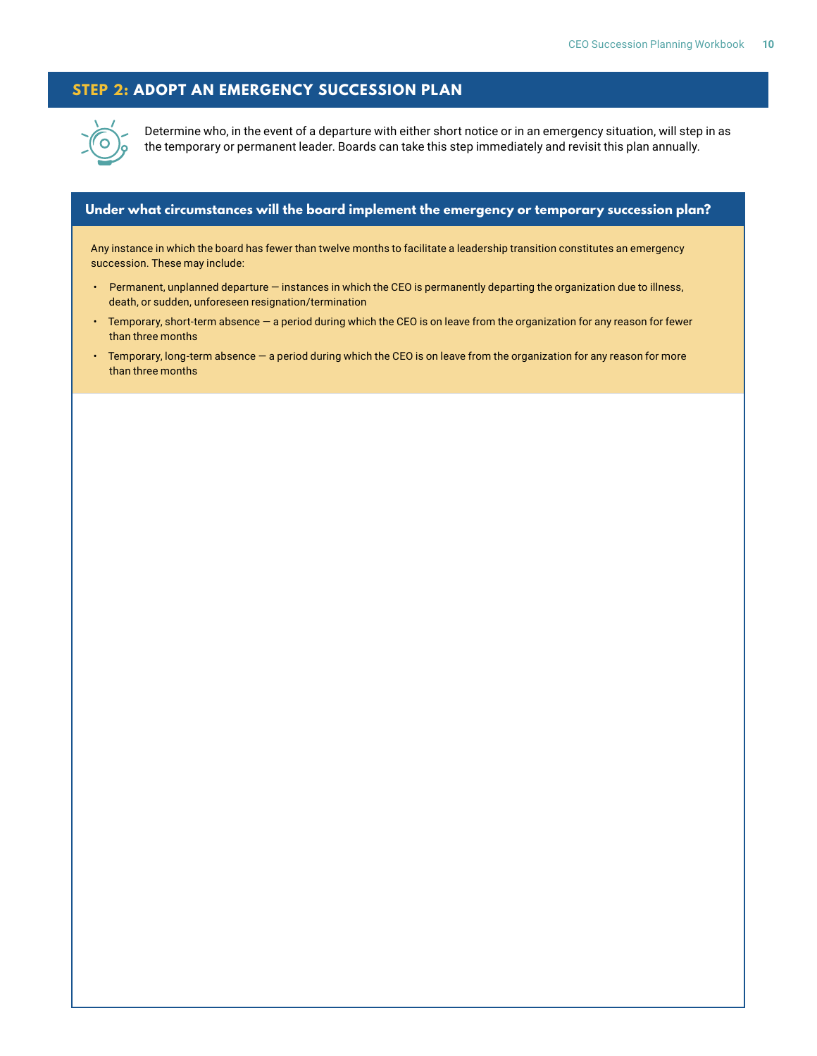#### **STEP 2: ADOPT AN EMERGENCY SUCCESSION PLAN**



Determine who, in the event of a departure with either short notice or in an emergency situation, will step in as the temporary or permanent leader. Boards can take this step immediately and revisit this plan annually.

#### **Under what circumstances will the board implement the emergency or temporary succession plan?**

Any instance in which the board has fewer than twelve months to facilitate a leadership transition constitutes an emergency succession. These may include:

- Permanent, unplanned departure instances in which the CEO is permanently departing the organization due to illness, death, or sudden, unforeseen resignation/termination
- Temporary, short-term absence a period during which the CEO is on leave from the organization for any reason for fewer than three months
- Temporary, long-term absence a period during which the CEO is on leave from the organization for any reason for more than three months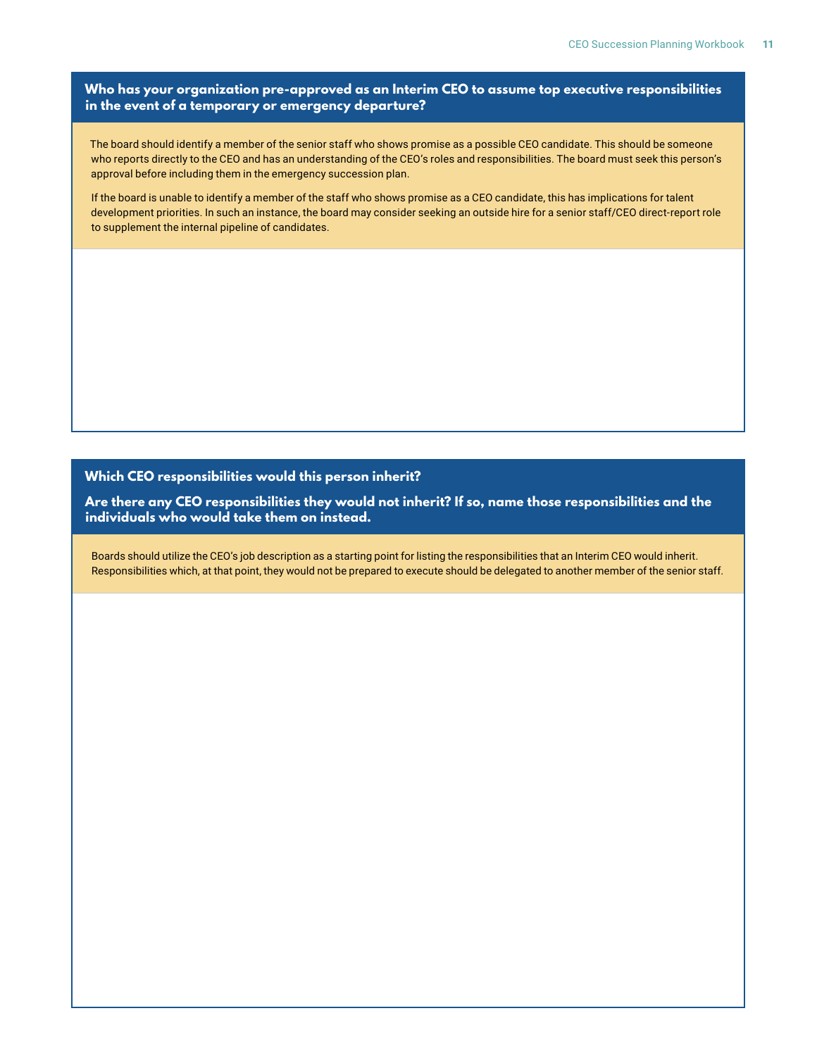#### **Who has your organization pre-approved as an Interim CEO to assume top executive responsibilities in the event of a temporary or emergency departure?**

The board should identify a member of the senior staff who shows promise as a possible CEO candidate. This should be someone who reports directly to the CEO and has an understanding of the CEO's roles and responsibilities. The board must seek this person's approval before including them in the emergency succession plan.

If the board is unable to identify a member of the staff who shows promise as a CEO candidate, this has implications for talent development priorities. In such an instance, the board may consider seeking an outside hire for a senior staff/CEO direct-report role to supplement the internal pipeline of candidates.

#### **Which CEO responsibilities would this person inherit?**

**Are there any CEO responsibilities they would not inherit? If so, name those responsibilities and the individuals who would take them on instead.**

Boards should utilize the CEO's job description as a starting point for listing the responsibilities that an Interim CEO would inherit. Responsibilities which, at that point, they would not be prepared to execute should be delegated to another member of the senior staff.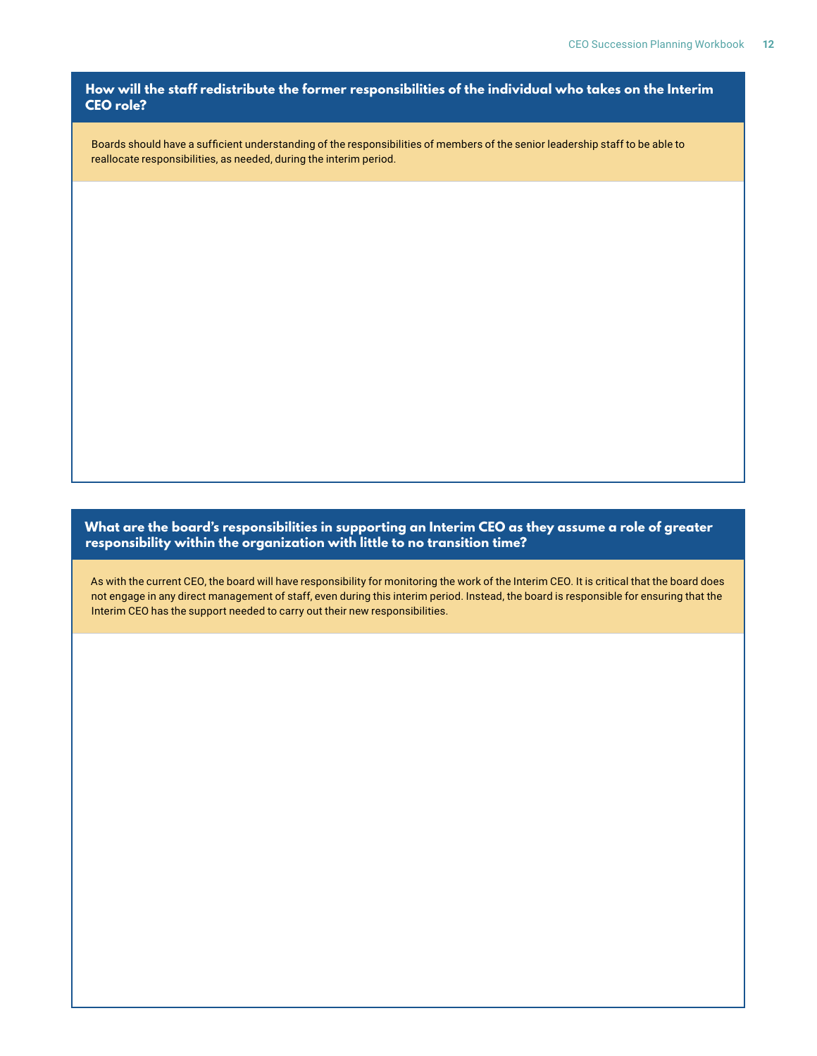**How will the staff redistribute the former responsibilities of the individual who takes on the Interim CEO role?**

Boards should have a sufficient understanding of the responsibilities of members of the senior leadership staff to be able to reallocate responsibilities, as needed, during the interim period.

**What are the board's responsibilities in supporting an Interim CEO as they assume a role of greater responsibility within the organization with little to no transition time?**

As with the current CEO, the board will have responsibility for monitoring the work of the Interim CEO. It is critical that the board does not engage in any direct management of staff, even during this interim period. Instead, the board is responsible for ensuring that the Interim CEO has the support needed to carry out their new responsibilities.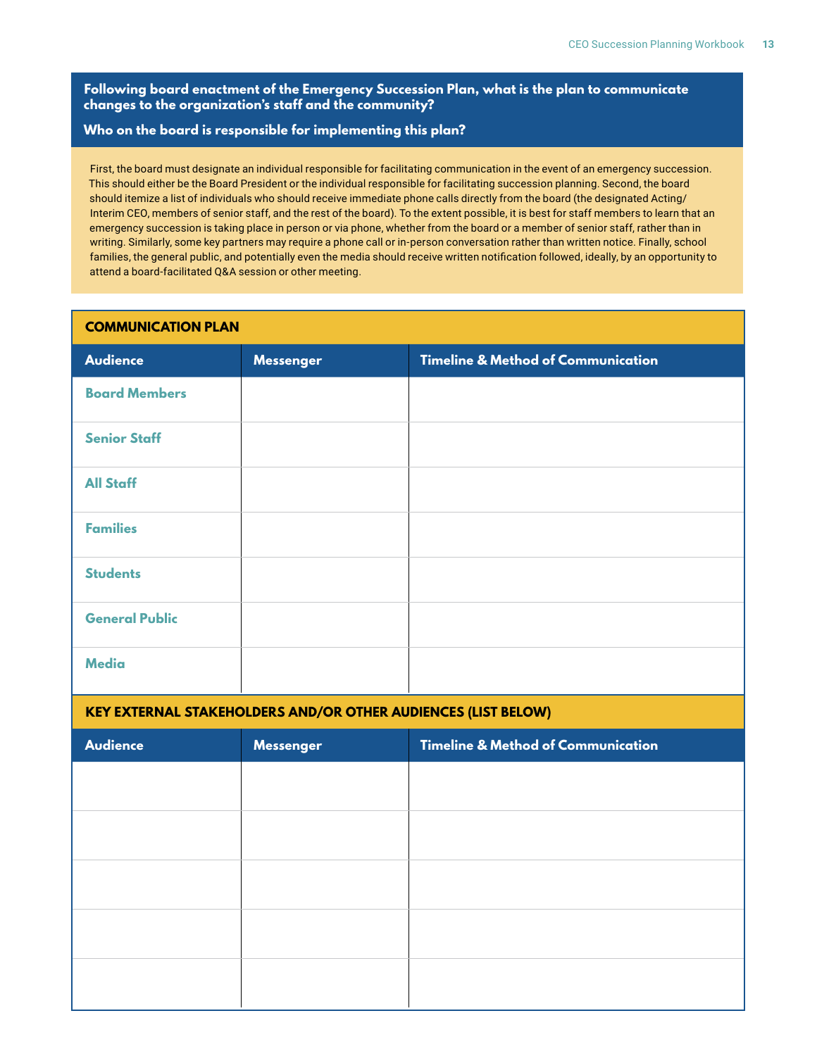**Following board enactment of the Emergency Succession Plan, what is the plan to communicate changes to the organization's staff and the community?**

#### **Who on the board is responsible for implementing this plan?**

First, the board must designate an individual responsible for facilitating communication in the event of an emergency succession. This should either be the Board President or the individual responsible for facilitating succession planning. Second, the board should itemize a list of individuals who should receive immediate phone calls directly from the board (the designated Acting/ Interim CEO, members of senior staff, and the rest of the board). To the extent possible, it is best for staff members to learn that an emergency succession is taking place in person or via phone, whether from the board or a member of senior staff, rather than in writing. Similarly, some key partners may require a phone call or in-person conversation rather than written notice. Finally, school families, the general public, and potentially even the media should receive written notification followed, ideally, by an opportunity to attend a board-facilitated Q&A session or other meeting.

| <b>COMMUNICATION PLAN</b> |                  |                                               |
|---------------------------|------------------|-----------------------------------------------|
| <b>Audience</b>           | <b>Messenger</b> | <b>Timeline &amp; Method of Communication</b> |
| <b>Board Members</b>      |                  |                                               |
| <b>Senior Staff</b>       |                  |                                               |
| <b>All Staff</b>          |                  |                                               |
| <b>Families</b>           |                  |                                               |
| <b>Students</b>           |                  |                                               |
| <b>General Public</b>     |                  |                                               |
| <b>Media</b>              |                  |                                               |

#### **KEY EXTERNAL STAKEHOLDERS AND/OR OTHER AUDIENCES (LIST BELOW)**

| <b>Audience</b> | <b>Messenger</b> | <b>Timeline &amp; Method of Communication</b> |
|-----------------|------------------|-----------------------------------------------|
|                 |                  |                                               |
|                 |                  |                                               |
|                 |                  |                                               |
|                 |                  |                                               |
|                 |                  |                                               |
|                 |                  |                                               |
|                 |                  |                                               |
|                 |                  |                                               |
|                 |                  |                                               |
|                 |                  |                                               |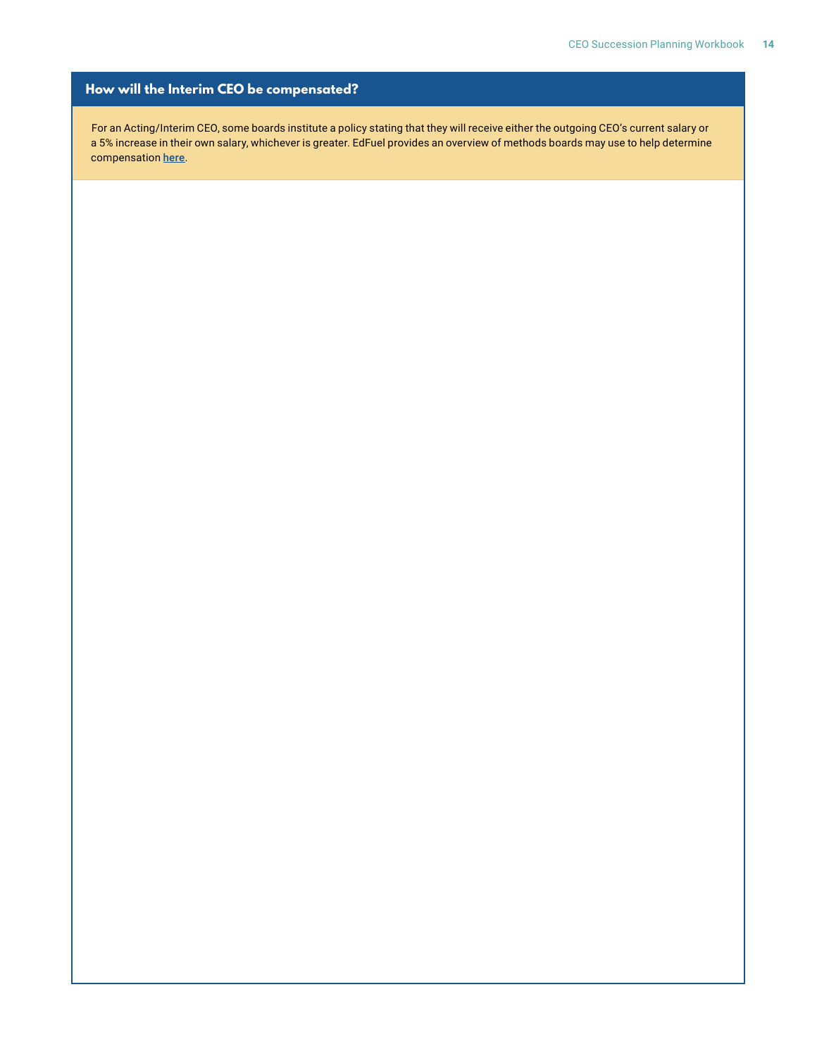#### **How will the Interim CEO be compensated?**

For an Acting/Interim CEO, some boards institute a policy stating that they will receive either the outgoing CEO's current salary or a 5% increase in their own salary, whichever is greater. EdFuel provides an overview of methods boards may use to help determine compensation [here](http://www.edfuel.org/wp-content/uploads/2017/08/EdFuel.Bridgespan-Group-compensation-slides-July-2016.pdf).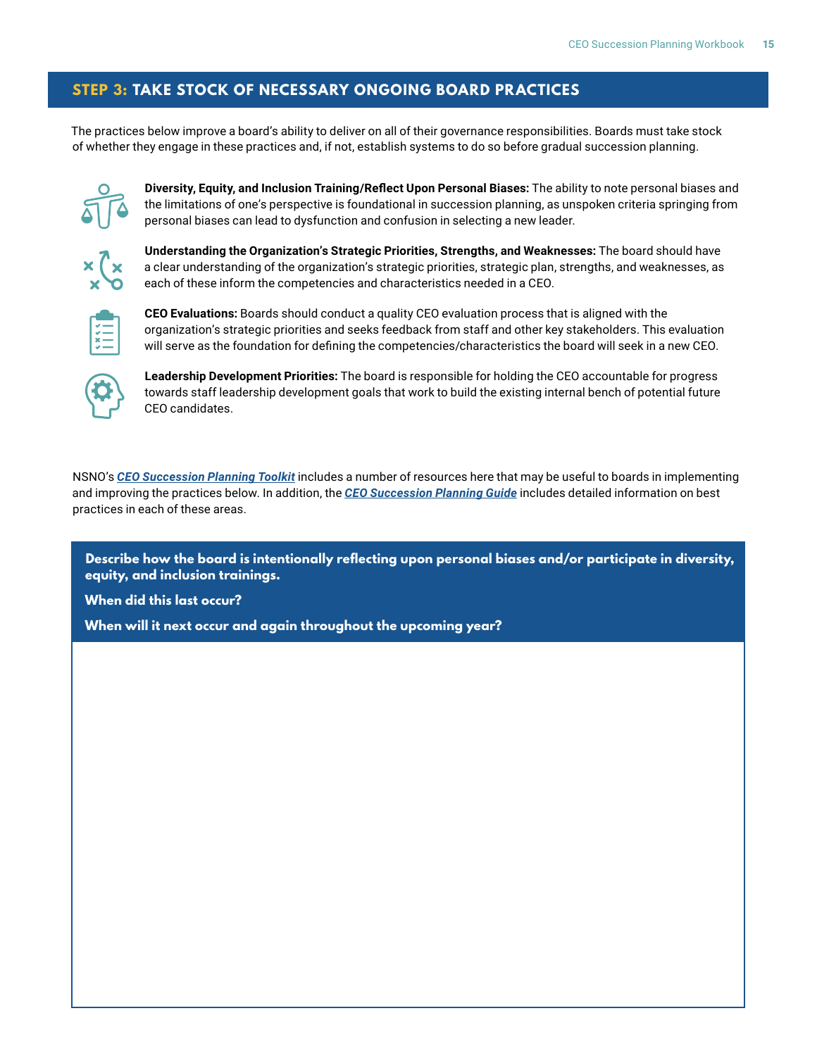#### **STEP 3: TAKE STOCK OF NECESSARY ONGOING BOARD PRACTICES**

The practices below improve a board's ability to deliver on all of their governance responsibilities. Boards must take stock of whether they engage in these practices and, if not, establish systems to do so before gradual succession planning.



**Diversity, Equity, and Inclusion Training/Reflect Upon Personal Biases:** The ability to note personal biases and the limitations of one's perspective is foundational in succession planning, as unspoken criteria springing from personal biases can lead to dysfunction and confusion in selecting a new leader.



**Understanding the Organization's Strategic Priorities, Strengths, and Weaknesses:** The board should have a clear understanding of the organization's strategic priorities, strategic plan, strengths, and weaknesses, as each of these inform the competencies and characteristics needed in a CEO.



**CEO Evaluations:** Boards should conduct a quality CEO evaluation process that is aligned with the organization's strategic priorities and seeks feedback from staff and other key stakeholders. This evaluation will serve as the foundation for defining the competencies/characteristics the board will seek in a new CEO.



**Leadership Development Priorities:** The board is responsible for holding the CEO accountable for progress towards staff leadership development goals that work to build the existing internal bench of potential future CEO candidates.

NSNO's *[CEO Succession Planning Toolkit](https://www.newschoolsforneworleans.org/ceo-succession-planning-toolkit/)* includes a number of resources here that may be useful to boards in implementing and improving the practices below. In addition, the *[CEO Succession Planning Guide](https://www.newschoolsforneworleans.org/wp-content/uploads/2020/01/NSNO-ceo-succession-planner-pages-0120.pdf)* includes detailed information on best practices in each of these areas.

**Describe how the board is intentionally reflecting upon personal biases and/or participate in diversity, equity, and inclusion trainings.**

**When did this last occur?**

**When will it next occur and again throughout the upcoming year?**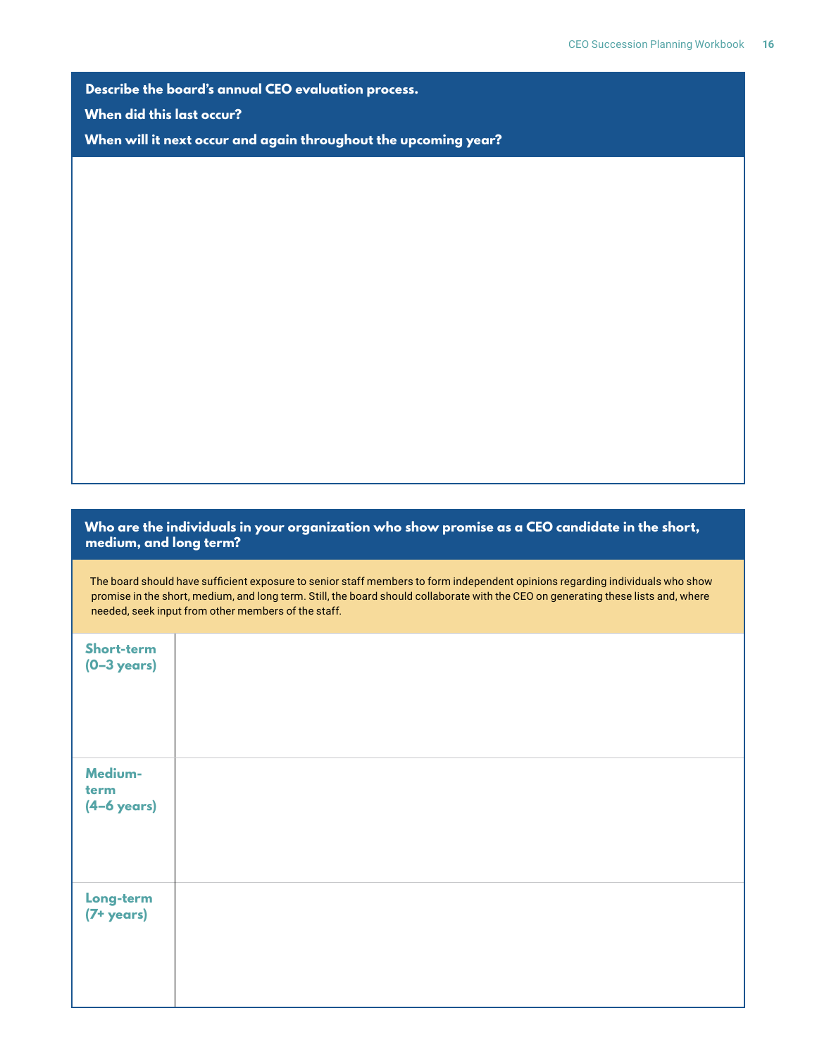**Describe the board's annual CEO evaluation process.**

**When did this last occur?**

**When will it next occur and again throughout the upcoming year?**

#### **Who are the individuals in your organization who show promise as a CEO candidate in the short, medium, and long term?**

The board should have sufficient exposure to senior staff members to form independent opinions regarding individuals who show promise in the short, medium, and long term. Still, the board should collaborate with the CEO on generating these lists and, where needed, seek input from other members of the staff.

| Short-term<br>$(0-3 \text{ years})$      |  |  |
|------------------------------------------|--|--|
| Medium-<br>term<br>$(4-6 \text{ years})$ |  |  |
| Long-term<br>$(7 + \text{years})$        |  |  |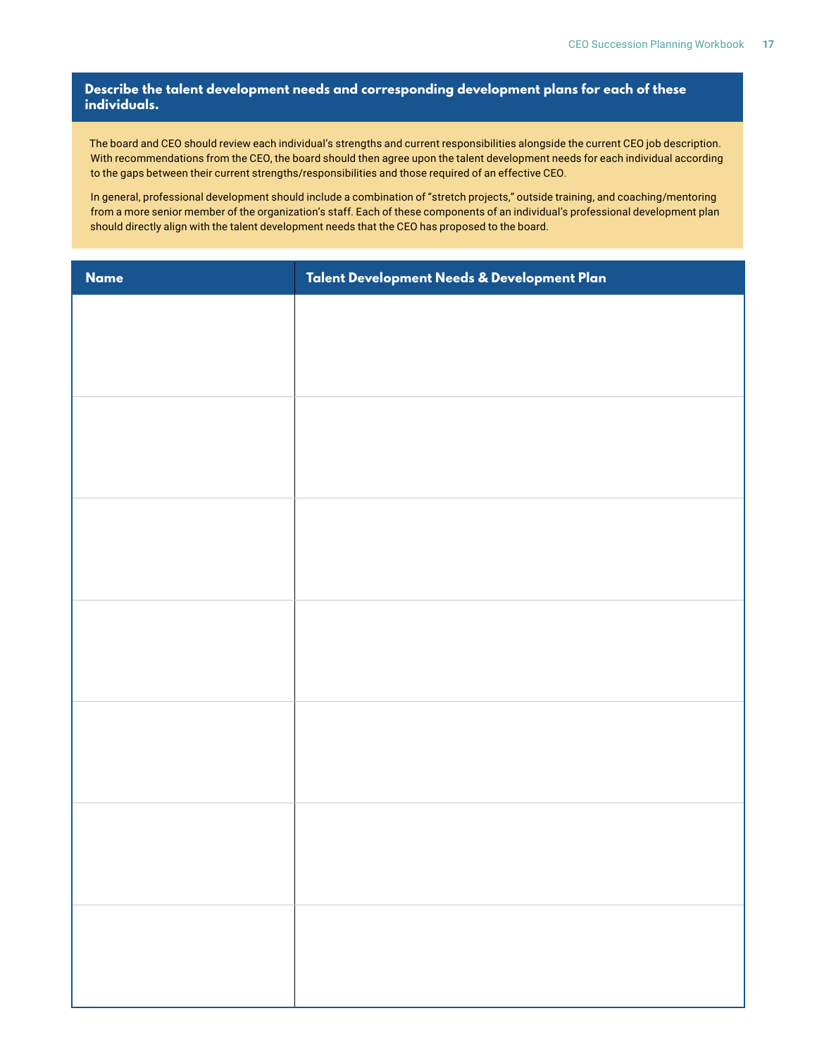#### **Describe the talent development needs and corresponding development plans for each of these individuals.**

The board and CEO should review each individual's strengths and current responsibilities alongside the current CEO job description. With recommendations from the CEO, the board should then agree upon the talent development needs for each individual according to the gaps between their current strengths/responsibilities and those required of an effective CEO.

In general, professional development should include a combination of "stretch projects," outside training, and coaching/mentoring from a more senior member of the organization's staff. Each of these components of an individual's professional development plan should directly align with the talent development needs that the CEO has proposed to the board.

| <b>Name</b> | Talent Development Needs & Development Plan |
|-------------|---------------------------------------------|
|             |                                             |
|             |                                             |
|             |                                             |
|             |                                             |
|             |                                             |
|             |                                             |
|             |                                             |
|             |                                             |
|             |                                             |
|             |                                             |
|             |                                             |
|             |                                             |
|             |                                             |
|             |                                             |
|             |                                             |
|             |                                             |
|             |                                             |
|             |                                             |
|             |                                             |
|             |                                             |
|             |                                             |
|             |                                             |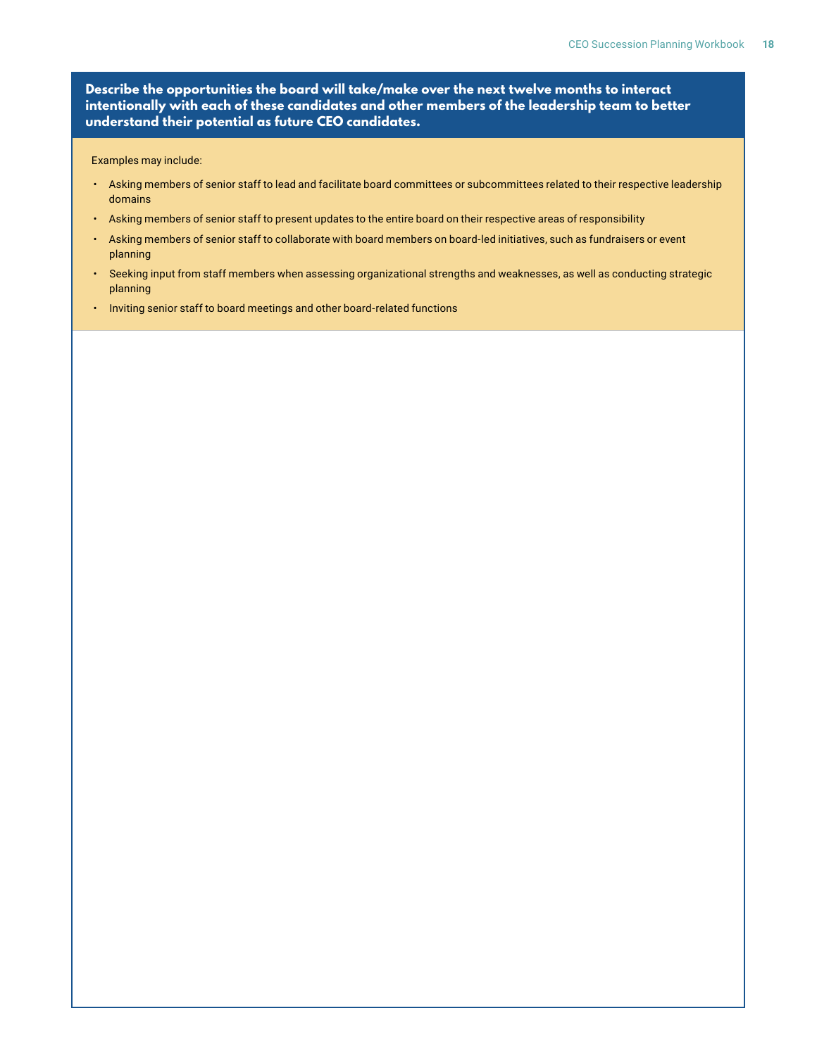**Describe the opportunities the board will take/make over the next twelve months to interact intentionally with each of these candidates and other members of the leadership team to better understand their potential as future CEO candidates.**

Examples may include:

- Asking members of senior staff to lead and facilitate board committees or subcommittees related to their respective leadership domains
- Asking members of senior staff to present updates to the entire board on their respective areas of responsibility
- Asking members of senior staff to collaborate with board members on board-led initiatives, such as fundraisers or event planning
- Seeking input from staff members when assessing organizational strengths and weaknesses, as well as conducting strategic planning
- Inviting senior staff to board meetings and other board-related functions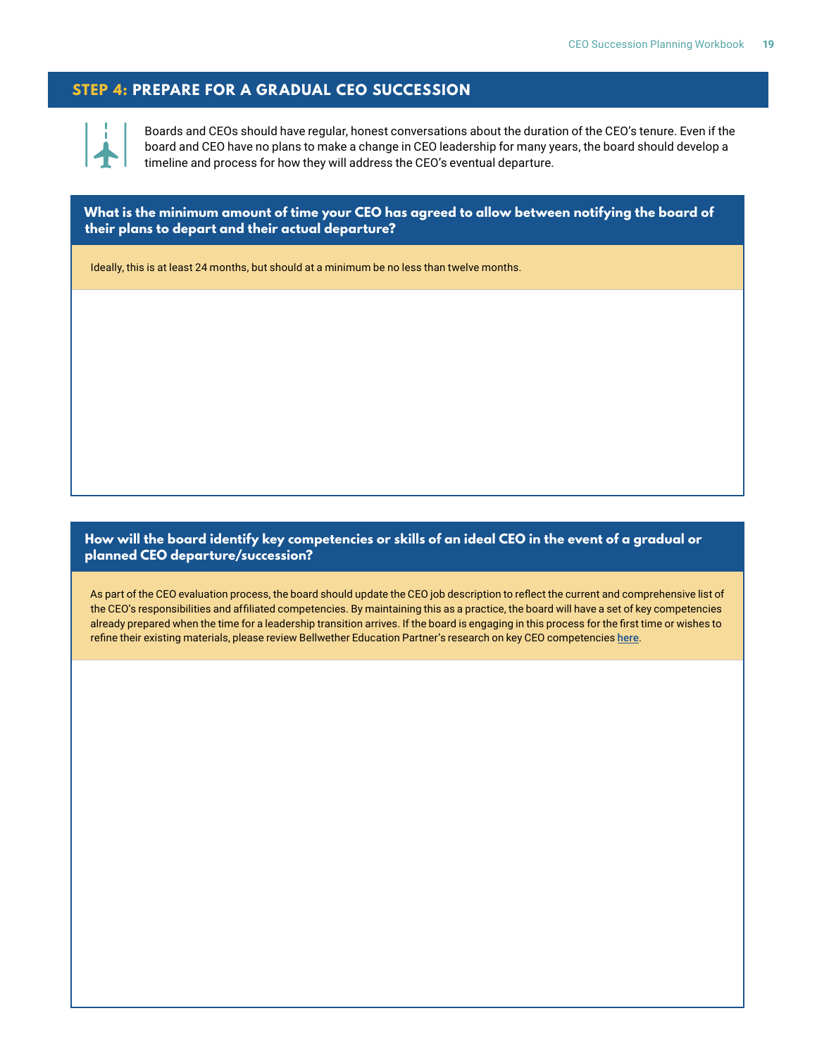#### **STEP 4: PREPARE FOR A GRADUAL CEO SUCCESSION**



Boards and CEOs should have regular, honest conversations about the duration of the CEO's tenure. Even if the board and CEO have no plans to make a change in CEO leadership for many years, the board should develop a timeline and process for how they will address the CEO's eventual departure.

**What is the minimum amount of time your CEO has agreed to allow between notifying the board of their plans to depart and their actual departure?**

Ideally, this is at least 24 months, but should at a minimum be no less than twelve months.

#### **How will the board identify key competencies or skills of an ideal CEO in the event of a gradual or planned CEO departure/succession?**

As part of the CEO evaluation process, the board should update the CEO job description to reflect the current and comprehensive list of the CEO's responsibilities and affiliated competencies. By maintaining this as a practice, the board will have a set of key competencies already prepared when the time for a leadership transition arrives. If the board is engaging in this process for the first time or wishes to refine their existing materials, please review Bellwether Education Partner's research on key CEO competencies [here](https://www.newschoolsforneworleans.org/wp-content/uploads/2020/01/Bellwether-CEO-Profile-and-Playbook.website.pdf).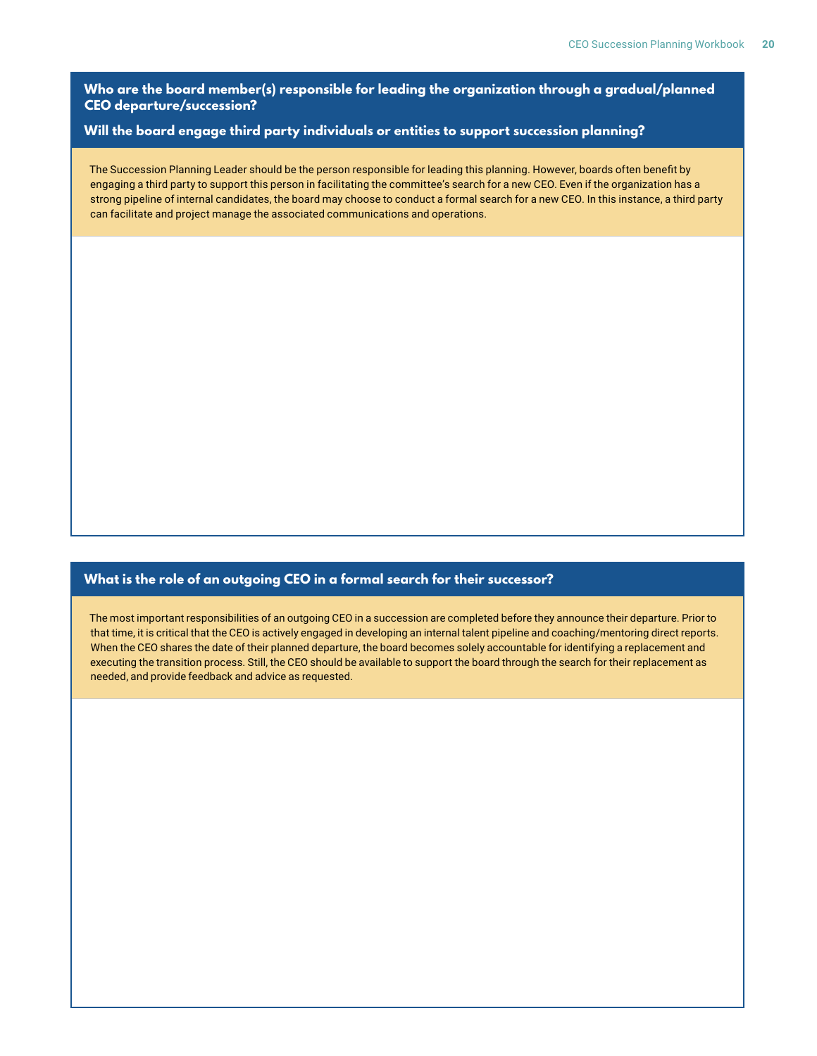**Who are the board member(s) responsible for leading the organization through a gradual/planned CEO departure/succession?**

#### **Will the board engage third party individuals or entities to support succession planning?**

The Succession Planning Leader should be the person responsible for leading this planning. However, boards often benefit by engaging a third party to support this person in facilitating the committee's search for a new CEO. Even if the organization has a strong pipeline of internal candidates, the board may choose to conduct a formal search for a new CEO. In this instance, a third party can facilitate and project manage the associated communications and operations.

#### **What is the role of an outgoing CEO in a formal search for their successor?**

The most important responsibilities of an outgoing CEO in a succession are completed before they announce their departure. Prior to that time, it is critical that the CEO is actively engaged in developing an internal talent pipeline and coaching/mentoring direct reports. When the CEO shares the date of their planned departure, the board becomes solely accountable for identifying a replacement and executing the transition process. Still, the CEO should be available to support the board through the search for their replacement as needed, and provide feedback and advice as requested.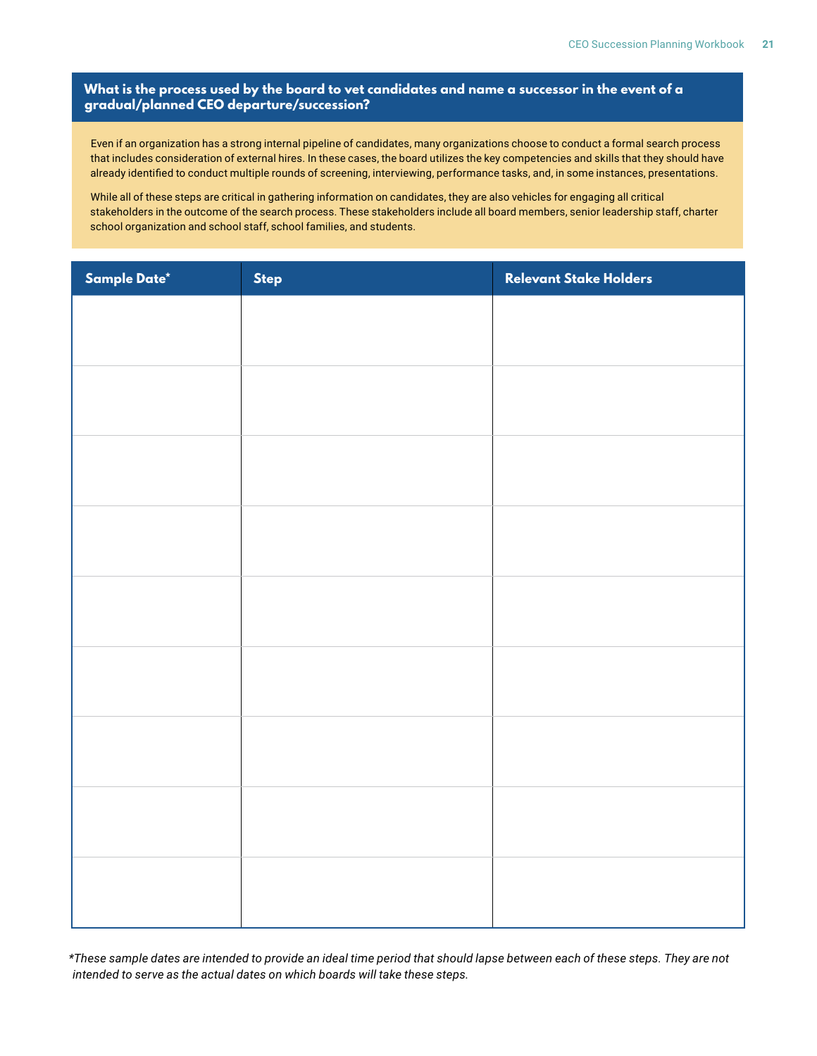#### **What is the process used by the board to vet candidates and name a successor in the event of a gradual/planned CEO departure/succession?**

Even if an organization has a strong internal pipeline of candidates, many organizations choose to conduct a formal search process that includes consideration of external hires. In these cases, the board utilizes the key competencies and skills that they should have already identified to conduct multiple rounds of screening, interviewing, performance tasks, and, in some instances, presentations.

While all of these steps are critical in gathering information on candidates, they are also vehicles for engaging all critical stakeholders in the outcome of the search process. These stakeholders include all board members, senior leadership staff, charter school organization and school staff, school families, and students.

| Sample Date* | <b>Step</b> | Relevant Stake Holders |
|--------------|-------------|------------------------|
|              |             |                        |
|              |             |                        |
|              |             |                        |
|              |             |                        |
|              |             |                        |
|              |             |                        |
|              |             |                        |
|              |             |                        |
|              |             |                        |
|              |             |                        |
|              |             |                        |
|              |             |                        |
|              |             |                        |
|              |             |                        |
|              |             |                        |
|              |             |                        |
|              |             |                        |
|              |             |                        |
|              |             |                        |
|              |             |                        |
|              |             |                        |

*\*These sample dates are intended to provide an ideal time period that should lapse between each of these steps. They are not intended to serve as the actual dates on which boards will take these steps.*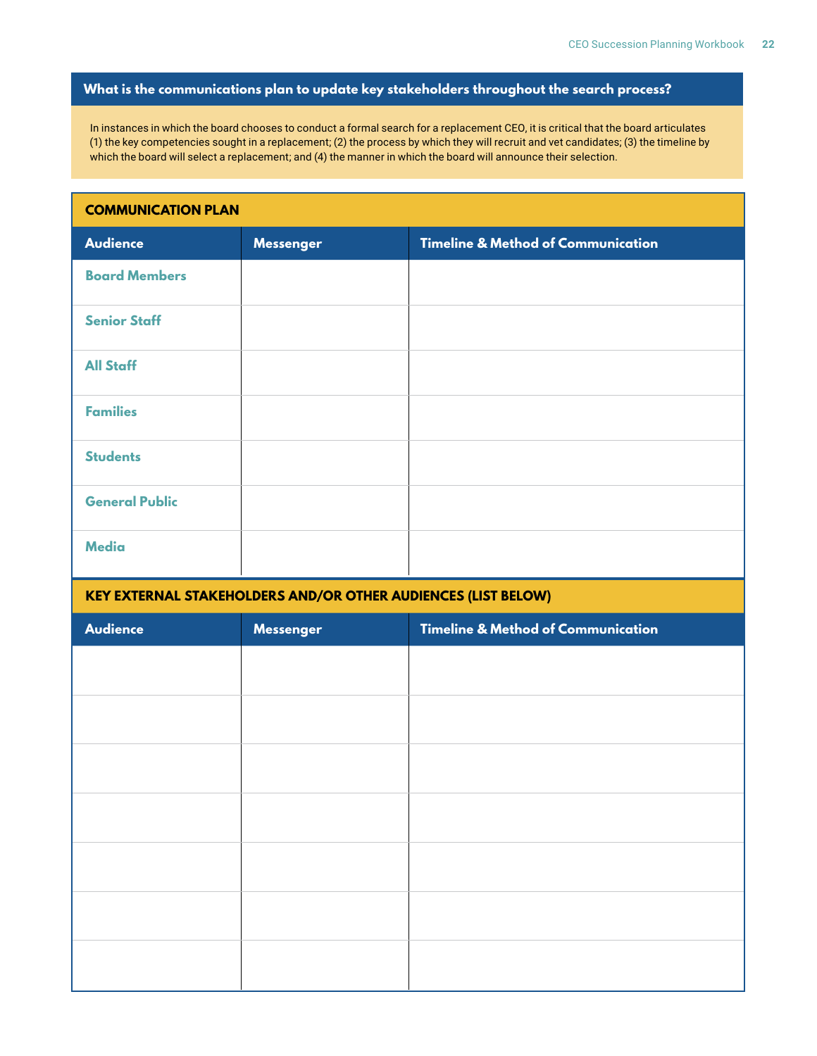#### **What is the communications plan to update key stakeholders throughout the search process?**

In instances in which the board chooses to conduct a formal search for a replacement CEO, it is critical that the board articulates (1) the key competencies sought in a replacement; (2) the process by which they will recruit and vet candidates; (3) the timeline by which the board will select a replacement; and (4) the manner in which the board will announce their selection.

## **COMMUNICATION PLAN Audience Messenger Timeline & Method of Communication Board Members Senior Staff All Staff Families Students General Public Media**

#### **KEY EXTERNAL STAKEHOLDERS AND/OR OTHER AUDIENCES (LIST BELOW)**

| Audience | <b>Messenger</b> | <b>Timeline &amp; Method of Communication</b> |
|----------|------------------|-----------------------------------------------|
|          |                  |                                               |
|          |                  |                                               |
|          |                  |                                               |
|          |                  |                                               |
|          |                  |                                               |
|          |                  |                                               |
|          |                  |                                               |
|          |                  |                                               |
|          |                  |                                               |
|          |                  |                                               |
|          |                  |                                               |
|          |                  |                                               |
|          |                  |                                               |
|          |                  |                                               |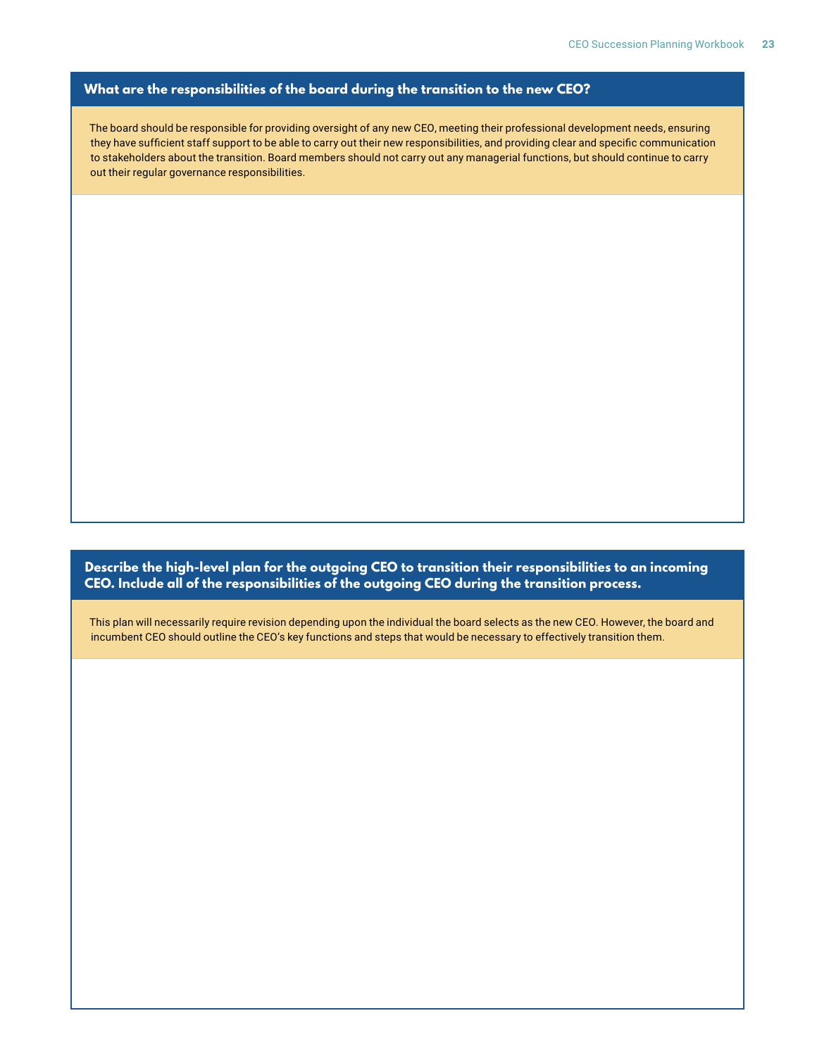#### **What are the responsibilities of the board during the transition to the new CEO?**

The board should be responsible for providing oversight of any new CEO, meeting their professional development needs, ensuring they have sufficient staff support to be able to carry out their new responsibilities, and providing clear and specific communication to stakeholders about the transition. Board members should not carry out any managerial functions, but should continue to carry out their regular governance responsibilities.

**Describe the high-level plan for the outgoing CEO to transition their responsibilities to an incoming CEO. Include all of the responsibilities of the outgoing CEO during the transition process.**

This plan will necessarily require revision depending upon the individual the board selects as the new CEO. However, the board and incumbent CEO should outline the CEO's key functions and steps that would be necessary to effectively transition them.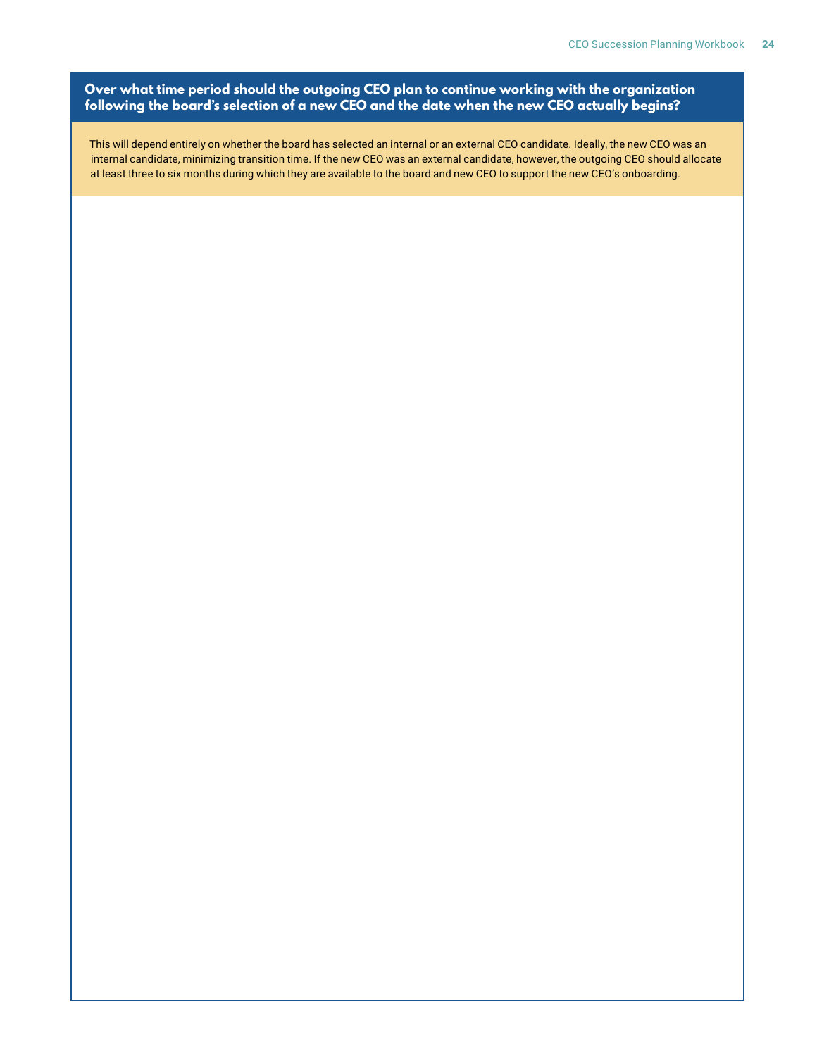#### **Over what time period should the outgoing CEO plan to continue working with the organization following the board's selection of a new CEO and the date when the new CEO actually begins?**

This will depend entirely on whether the board has selected an internal or an external CEO candidate. Ideally, the new CEO was an internal candidate, minimizing transition time. If the new CEO was an external candidate, however, the outgoing CEO should allocate at least three to six months during which they are available to the board and new CEO to support the new CEO's onboarding.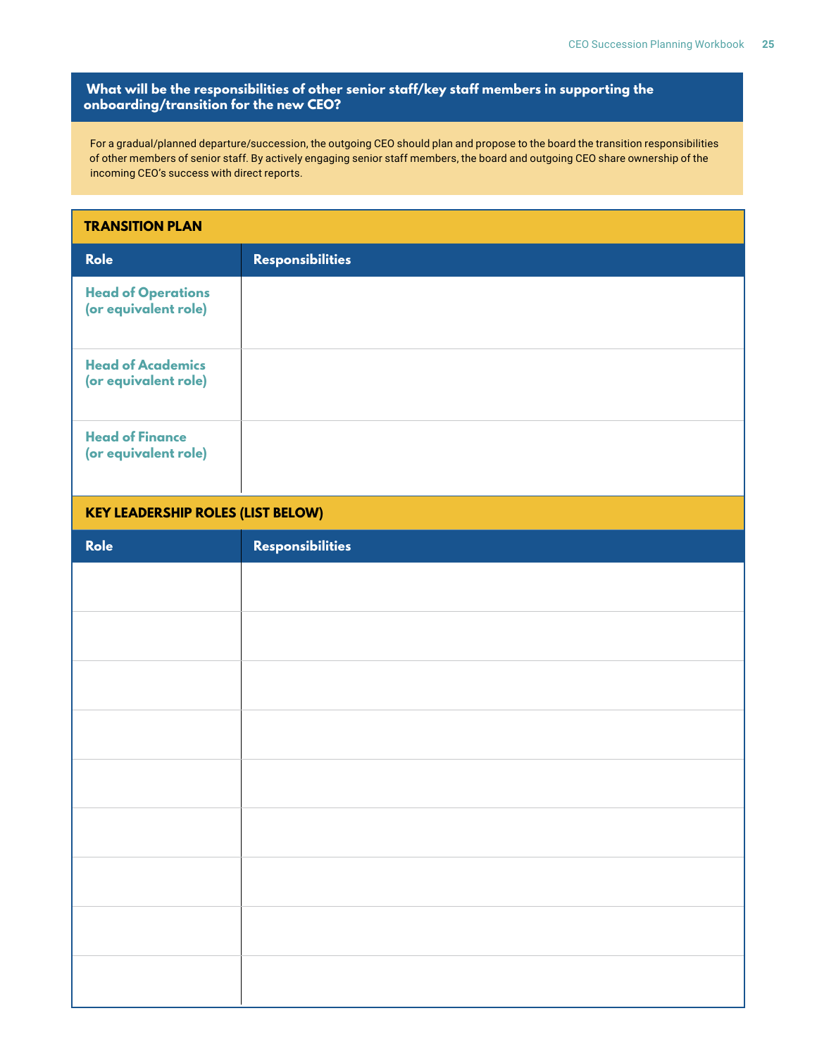#### **What will be the responsibilities of other senior staff/key staff members in supporting the onboarding/transition for the new CEO?**

For a gradual/planned departure/succession, the outgoing CEO should plan and propose to the board the transition responsibilities of other members of senior staff. By actively engaging senior staff members, the board and outgoing CEO share ownership of the incoming CEO's success with direct reports.

#### **TRANSITION PLAN**

| <b>Role</b>                                       | <b>Responsibilities</b> |
|---------------------------------------------------|-------------------------|
| <b>Head of Operations</b><br>(or equivalent role) |                         |
| <b>Head of Academics</b><br>(or equivalent role)  |                         |
| <b>Head of Finance</b><br>(or equivalent role)    |                         |

#### **KEY LEADERSHIP ROLES (LIST BELOW)**

| Role | Responsibilities |
|------|------------------|
|      |                  |
|      |                  |
|      |                  |
|      |                  |
|      |                  |
|      |                  |
|      |                  |
|      |                  |
|      |                  |
|      |                  |
|      |                  |
|      |                  |
|      |                  |
|      |                  |
|      |                  |
|      |                  |
|      |                  |
|      |                  |